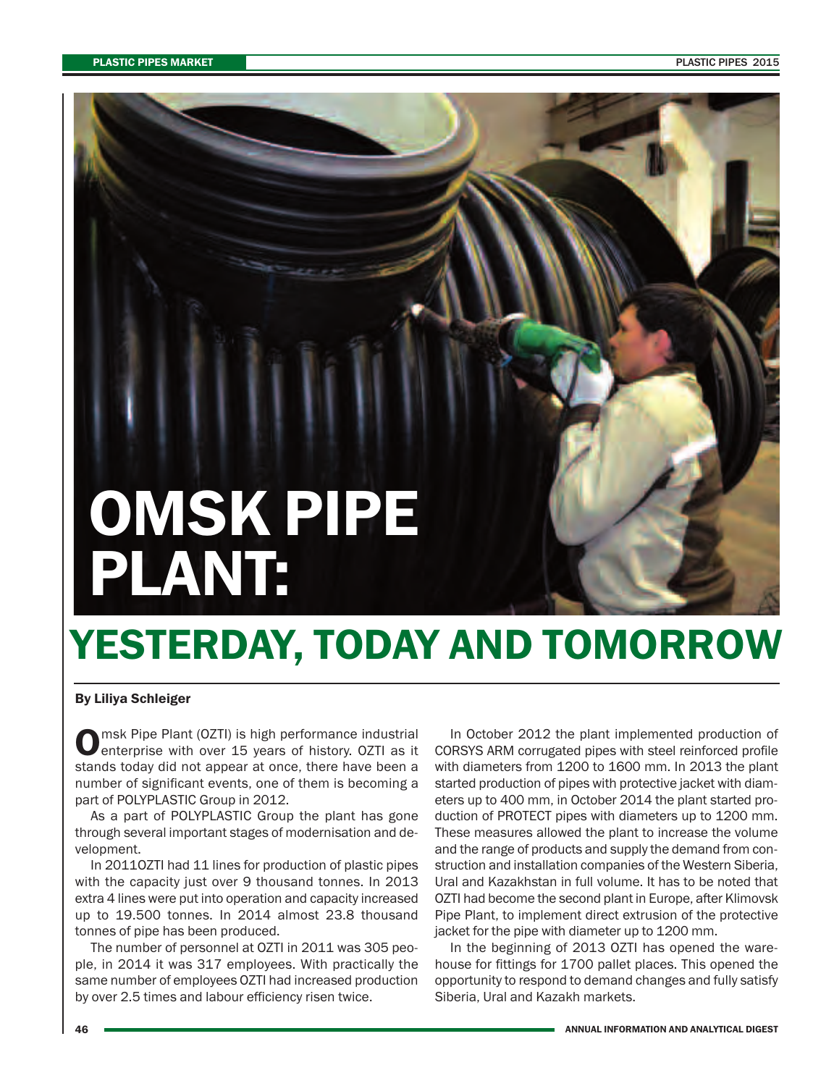# **OMSK PIPE PLANT:**

## **YESTERDAY, TODAY AND TOMORROW**

#### **By Liliya Schleiger**

**O**msk Pipe Plant (OZTI) is high performance industrial<br> **O**enterprise with over 15 years of history. OZTI as it stands today did not appear at once, there have been a number of significant events, one of them is becoming a part of POLYPLASTIC Group in 2012.

As a part of POLYPLASTIC Group the plant has gone through several important stages of modernisation and development.

In 2011OZTI had 11 lines for production of plastic pipes with the capacity just over 9 thousand tonnes. In 2013 extra 4 lines were put into operation and capacity increased up to 19.500 tonnes. In 2014 almost 23.8 thousand tonnes of pipe has been produced.

The number of personnel at OZTI in 2011 was 305 people, in 2014 it was 317 employees. With practically the same number of employees OZTI had increased production by over 2.5 times and labour efficiency risen twice.

In October 2012 the plant implemented production of CORSYS ARM corrugated pipes with steel reinforced profile with diameters from 1200 to 1600 mm. In 2013 the plant started production of pipes with protective jacket with diameters up to 400 mm, in October 2014 the plant started production of PROTECT pipes with diameters up to 1200 mm. These measures allowed the plant to increase the volume and the range of products and supply the demand from construction and installation companies of the Western Siberia, Ural and Kazakhstan in full volume. It has to be noted that OZTI had become the second plant in Europe, after Klimovsk Pipe Plant, to implement direct extrusion of the protective jacket for the pipe with diameter up to 1200 mm.

In the beginning of 2013 OZTI has opened the warehouse for fittings for 1700 pallet places. This opened the opportunity to respond to demand changes and fully satisfy Siberia, Ural and Kazakh markets.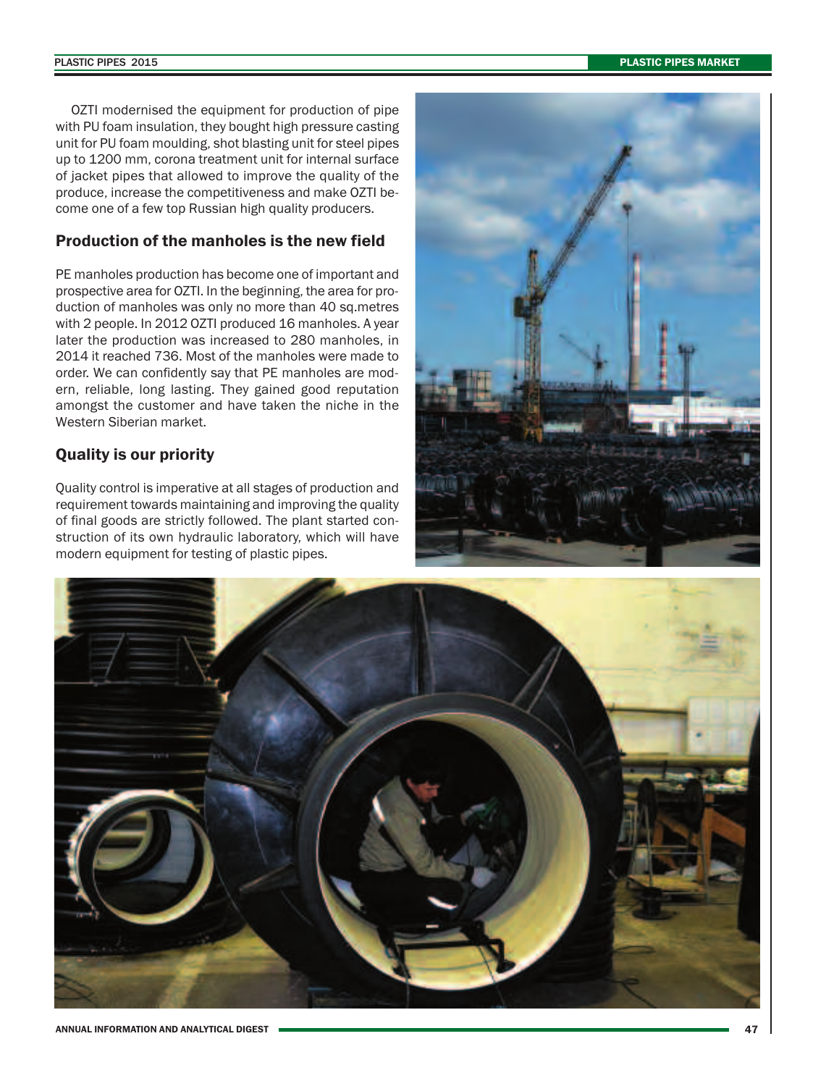OZTI modernised the equipment for production of pipe with PU foam insulation, they bought high pressure casting unit for PU foam moulding, shot blasting unit for steel pipes up to 1200 mm, corona treatment unit for internal surface of jacket pipes that allowed to improve the quality of the produce, increase the competitiveness and make OZTI become one of a few top Russian high quality producers.

### **Production of the manholes is the new field**

PE manholes production has become one of important and prospective area for OZTI. In the beginning, the area for production of manholes was only no more than 40 sq.metres with 2 people. In 2012 OZTI produced 16 manholes. A year later the production was increased to 280 manholes, in 2014 it reached 736. Most of the manholes were made to order. We can confidently say that PE manholes are modern, reliable, long lasting. They gained good reputation amongst the customer and have taken the niche in the Western Siberian market.

### **Quality is our priority**

Quality control is imperative at all stages of production and requirement towards maintaining and improving the quality of final goods are strictly followed. The plant started construction of its own hydraulic laboratory, which will have modern equipment for testing of plastic pipes.